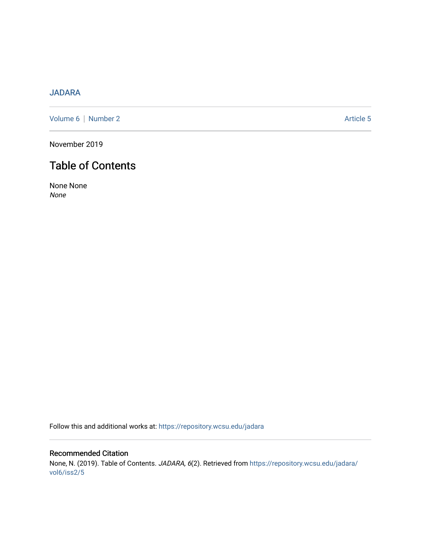# [JADARA](https://repository.wcsu.edu/jadara)

[Volume 6](https://repository.wcsu.edu/jadara/vol6) | [Number 2](https://repository.wcsu.edu/jadara/vol6/iss2) Article 5

November 2019

# Table of Contents

None None None

Follow this and additional works at: [https://repository.wcsu.edu/jadara](https://repository.wcsu.edu/jadara?utm_source=repository.wcsu.edu%2Fjadara%2Fvol6%2Fiss2%2F5&utm_medium=PDF&utm_campaign=PDFCoverPages)

# Recommended Citation None, N. (2019). Table of Contents. JADARA, 6(2). Retrieved from [https://repository.wcsu.edu/jadara/](https://repository.wcsu.edu/jadara/vol6/iss2/5?utm_source=repository.wcsu.edu%2Fjadara%2Fvol6%2Fiss2%2F5&utm_medium=PDF&utm_campaign=PDFCoverPages) [vol6/iss2/5](https://repository.wcsu.edu/jadara/vol6/iss2/5?utm_source=repository.wcsu.edu%2Fjadara%2Fvol6%2Fiss2%2F5&utm_medium=PDF&utm_campaign=PDFCoverPages)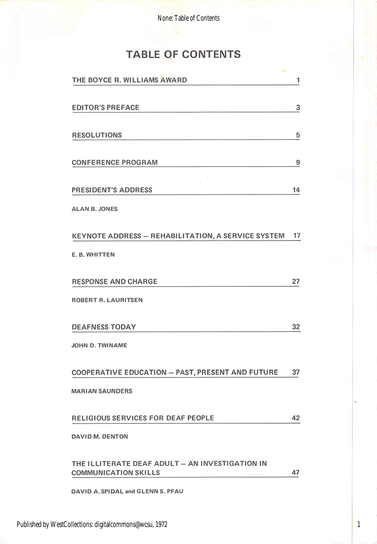None: Table of Contents

# TABLE OF CONTENTS

| THE BOYCE R. WILLIAMS AWARD                                                    | 1  |
|--------------------------------------------------------------------------------|----|
| <b>EDITOR'S PREFACE</b>                                                        | 3  |
| <b>RESOLUTIONS</b>                                                             | 5  |
| <b>CONFERENCE PROGRAM</b>                                                      | 9  |
| <b>PRESIDENT'S ADDRESS</b>                                                     | 14 |
| <b>ALAN B. JONES</b>                                                           |    |
| KEYNOTE ADDRESS - REHABILITATION, A SERVICE SYSTEM                             | 17 |
| E. B. WHITTEN                                                                  |    |
| <b>RESPONSE AND CHARGE</b>                                                     | 27 |
| ROBERT R. LAURITSEN                                                            |    |
| <b>DEAFNESS TODAY</b>                                                          | 32 |
| <b>JOHN D. TWINAME</b>                                                         |    |
| <b>COOPERATIVE EDUCATION - PAST, PRESENT AND FUTURE</b>                        | 37 |
| <b>MARIAN SAUNDERS</b>                                                         |    |
| RELIGIOUS SERVICES FOR DEAF PEOPLE                                             | 42 |
| DAVID M, DENTON                                                                |    |
| THE ILLITERATE DEAF ADULT - AN INVESTIGATION IN<br><b>COMMUNICATION SKILLS</b> | 47 |
| DAVID A. SPIDAL and GLENN S. PFAU                                              |    |

1

Published by WestCollections: digitalcommons@wcsu, 1972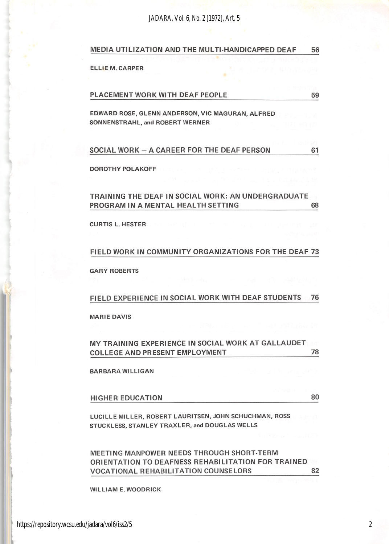*JADARA, Vol. 6, No. 2 [1972], Art. 5*

| MEDIA UTILIZATION AND THE MULTI-HANDICAPPED DEAF | 56 |
|--------------------------------------------------|----|
|                                                  |    |

ELLIE M. CARPER

(

t

I I

| <b>PLACEMENT WORK WITH DEAF PEOPLE</b> |  |
|----------------------------------------|--|
|                                        |  |

EDWARD ROSE, GLENN ANDERSON, VIC MAGURAN, ALFRED SONNENSTRAHL, and ROBERT WERNER

| SOCIAL WORK - A CAREER FOR THE DEAF PERSON |  |
|--------------------------------------------|--|
|--------------------------------------------|--|

DOROTHY POLAKOFF

### TRAINING THE DEAF IN SOCIAL WORK: AN UNDERGRADUATE PROGRAM IN A MENTAL HEALTH SETTING  $^{68}$

CURTIS L. HESTER

#### FIELD WORK IN COMMUNITY ORGANIZATIONS FOR THE DEAF 73

GARY ROBERTS

#### FIELD EXPERIENCE IN SOCIAL WORK WITH DEAF STUDENTS 76

MARIE DAVIS

### MY TRAINING EXPERIENCE IN SOCIAL WORK AT GALLAUDET COLLEGE AND PRESENT EMPLOYMENT ^

BARBARA WILLIGAN

HIGHER EDUCATION 80

LUCILLE MILLER, ROBERT LAURITSEN, JOHN SCHUCHMAN, ROSS STUCKLESS, STANLEY TRAXLER, and DOUGLAS WELLS

MEETING MANPOWER NEEDS THROUGH SHORT-TERM ORIENTATION TO DEAFNESS REHABILITATION FOR TRAINED VOCATIONAL REHABILITATION COUNSELORS 82

WILLIAM E. WOODRICK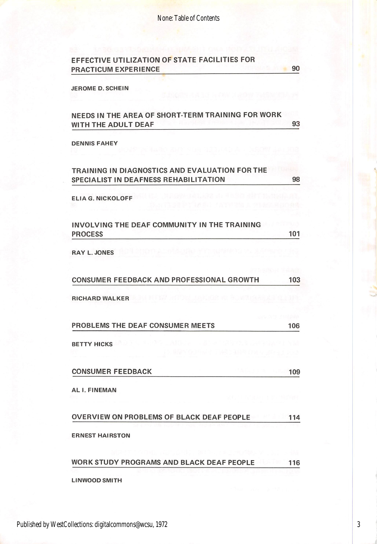| <b>PRACTICUM EXPERIENCE</b>                                                             | 90  |
|-----------------------------------------------------------------------------------------|-----|
| <b>JEROME D. SCHEIN</b>                                                                 |     |
|                                                                                         |     |
| NEEDS IN THE AREA OF SHORT-TERM TRAINING FOR WORK<br>WITH THE ADULT DEAF                | 93  |
| <b>DENNIS FAHEY</b>                                                                     |     |
| TRAINING IN DIAGNOSTICS AND EVALUATION FOR THE<br>SPECIALIST IN DEAFNESS REHABILITATION | 98  |
| <b>ELIA G. NICKOLOFF</b>                                                                |     |
| INVOLVING THE DEAF COMMUNITY IN THE TRAINING<br><b>PROCESS</b>                          | 101 |
| <b>RAY L. JONES</b>                                                                     |     |
| <b>CONSUMER FEEDBACK AND PROFESSIONAL GROWTH</b>                                        | 103 |
| <b>RICHARD WALKER</b>                                                                   |     |
| PROBLEMS THE DEAF CONSUMER MEETS                                                        | 106 |
| <b>BETTY HICKS</b>                                                                      |     |
| <b>CONSUMER FEEDBACK</b>                                                                | 109 |
| AL I. FINEMAN                                                                           |     |
| OVERVIEW ON PROBLEMS OF BLACK DEAF PEOPLE                                               | 114 |
| <b>ERNEST HAIRSTON</b>                                                                  |     |
| WORK STUDY PROGRAMS AND BLACK DEAF PEOPLE                                               | 116 |
|                                                                                         |     |

Published by WestCollections: digitalcommons@wcsu, 1972

3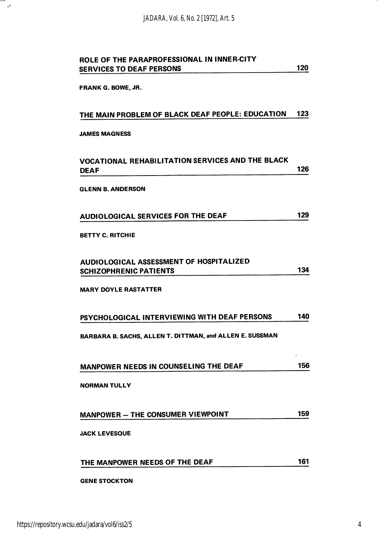*JADARA, Vol. 6, No. 2 [1972], Art. 5*

| ROLE OF THE PARAPROFESSIONAL IN INNER-CITY<br><b>SERVICES TO DEAF PERSONS</b> | 120 |
|-------------------------------------------------------------------------------|-----|
| <b>FRANK G. BOWE, JR.</b>                                                     |     |
| THE MAIN PROBLEM OF BLACK DEAF PEOPLE: EDUCATION                              | 123 |
| <b>JAMES MAGNESS</b>                                                          |     |
| VOCATIONAL REHABILITATION SERVICES AND THE BLACK<br>DEAF                      | 126 |
| <b>GLENN B. ANDERSON</b>                                                      |     |
| <b>AUDIOLOGICAL SERVICES FOR THE DEAF</b>                                     | 129 |
| <b>BETTY C. RITCHIE</b>                                                       |     |
| AUDIOLOGICAL ASSESSMENT OF HOSPITALIZED<br><b>SCHIZOPHRENIC PATIENTS</b>      | 134 |
| <b>MARY DOYLE RASTATTER</b>                                                   |     |
| PSYCHOLOGICAL INTERVIEWING WITH DEAF PERSONS                                  | 140 |
| BARBARA B. SACHS, ALLEN T. DITTMAN, and ALLEN E. SUSSMAN                      |     |
| MANPOWER NEEDS IN COUNSELING THE DEAF                                         | 156 |
| <b>NORMAN TULLY</b>                                                           |     |
| MANPOWER - THE CONSUMER VIEWPOINT                                             | 159 |
| <b>JACK LEVESQUE</b>                                                          |     |
| THE MANPOWER NEEDS OF THE DEAF                                                | 161 |
| <b>GENE STOCKTON</b>                                                          |     |

m.<br>2

4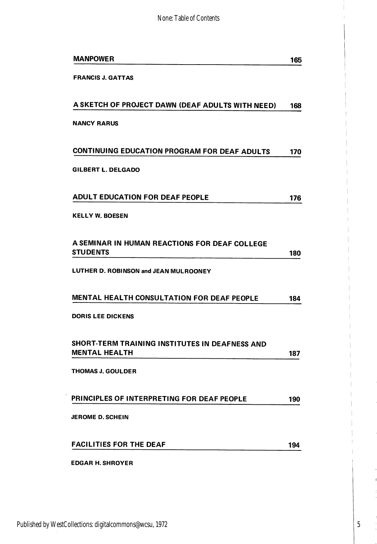| <b>MANPOWER</b>                                                        | 165 |
|------------------------------------------------------------------------|-----|
| <b>FRANCIS J. GATTAS</b>                                               |     |
|                                                                        |     |
| A SKETCH OF PROJECT DAWN (DEAF ADULTS WITH NEED)                       | 168 |
| <b>NANCY RARUS</b>                                                     |     |
|                                                                        |     |
| CONTINUING EDUCATION PROGRAM FOR DEAF ADULTS                           | 170 |
| GILBERT L. DELGADO                                                     |     |
|                                                                        |     |
| <b>ADULT EDUCATION FOR DEAF PEOPLE</b>                                 | 176 |
| <b>KELLY W. BOESEN</b>                                                 |     |
|                                                                        |     |
| A SEMINAR IN HUMAN REACTIONS FOR DEAF COLLEGE<br>STUDENTS              | 180 |
| LUTHER D. ROBINSON and JEAN MULROONEY                                  |     |
|                                                                        |     |
| MENTAL HEALTH CONSULTATION FOR DEAF PEOPLE                             | 184 |
| <b>DORIS LEE DICKENS</b>                                               |     |
|                                                                        |     |
| SHORT-TERM TRAINING INSTITUTES IN DEAFNESS AND<br><b>MENTAL HEALTH</b> |     |
|                                                                        | 187 |
| <b>THOMAS J. GOULDER</b>                                               |     |
| PRINCIPLES OF INTERPRETING FOR DEAF PEOPLE                             | 190 |
| <b>JEROME D. SCHEIN</b>                                                |     |
|                                                                        |     |
| <b>FACILITIES FOR THE DEAF</b>                                         | 194 |
| <b>EDGAR H. SHROYER</b>                                                |     |

5

í